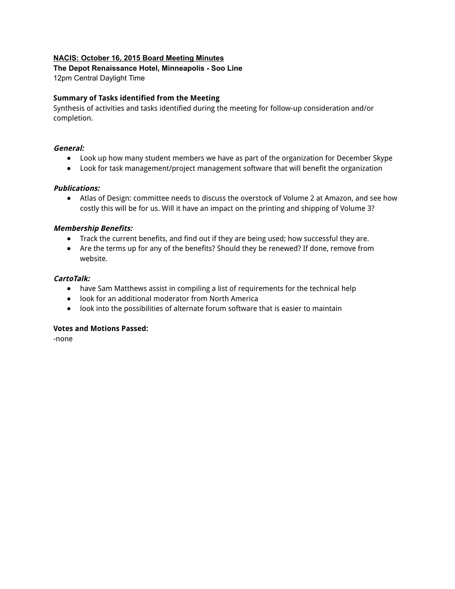#### **NACIS: October 16, 2015 Board Meeting Minutes**

# **The Depot Renaissance Hotel, Minneapolis Soo Line**

12pm Central Daylight Time

#### **Summary of Tasks identified from the Meeting**

Synthesis of activities and tasks identified during the meeting for follow-up consideration and/or completion.

#### **General:**

- Look up how many student members we have as part of the organization for December Skype
- Look for task management/project management software that will benefit the organization

#### **Publications:**

● Atlas of Design: committee needs to discuss the overstock of Volume 2 at Amazon, and see how costly this will be for us. Will it have an impact on the printing and shipping of Volume 3?

#### **Membership Benefits:**

- Track the current benefits, and find out if they are being used; how successful they are.
- Are the terms up for any of the benefits? Should they be renewed? If done, remove from website.

#### **CartoTalk:**

- have Sam Matthews assist in compiling a list of requirements for the technical help
- look for an additional moderator from North America
- look into the possibilities of alternate forum software that is easier to maintain

#### **Votes and Motions Passed:**

-none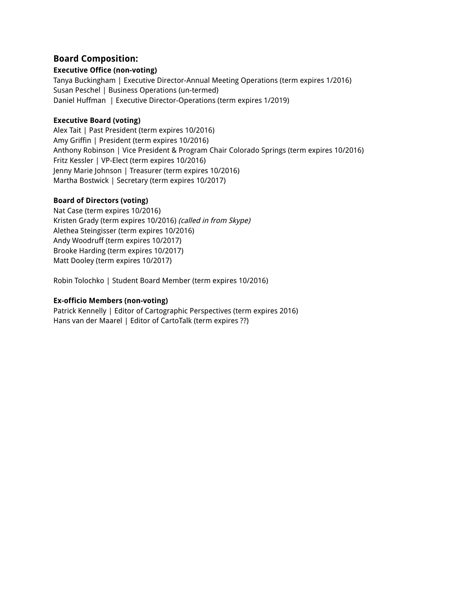# **Board Composition:**

#### **Executive Office (non-voting)**

Tanya Buckingham | Executive Director-Annual Meeting Operations (term expires 1/2016) Susan Peschel | Business Operations (un-termed) Daniel Huffman | Executive Director-Operations (term expires 1/2019)

#### **Executive Board (voting)**

Alex Tait | Past President (term expires 10/2016) Amy Griffin | President (term expires 10/2016) Anthony Robinson | Vice President & Program Chair Colorado Springs (term expires 10/2016) Fritz Kessler | VP-Elect (term expires 10/2016) Jenny Marie Johnson | Treasurer (term expires 10/2016) Martha Bostwick | Secretary (term expires 10/2017)

## **Board of Directors (voting)**

Nat Case (term expires 10/2016) Kristen Grady (term expires 10/2016) (called in from Skype) Alethea Steingisser (term expires 10/2016) Andy Woodruff (term expires 10/2017) Brooke Harding (term expires 10/2017) Matt Dooley (term expires 10/2017)

Robin Tolochko | Student Board Member (term expires 10/2016)

## **Ex-officio Members (non-voting)**

Patrick Kennelly | Editor of Cartographic Perspectives (term expires 2016) Hans van der Maarel | Editor of CartoTalk (term expires ??)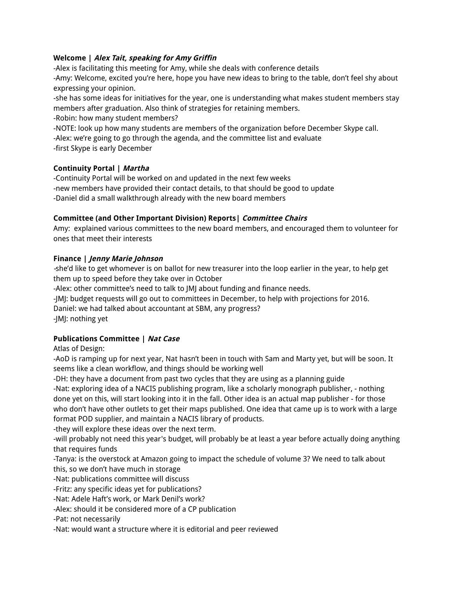#### **Welcome | Alex Tait, speaking for Amy Griffin**

-Alex is facilitating this meeting for Amy, while she deals with conference details

-Amy: Welcome, excited you're here, hope you have new ideas to bring to the table, don't feel shy about expressing your opinion.

-she has some ideas for initiatives for the year, one is understanding what makes student members stay members after graduation. Also think of strategies for retaining members.

-Robin: how many student members?

-NOTE: look up how many students are members of the organization before December Skype call.

-Alex: we're going to go through the agenda, and the committee list and evaluate

-first Skype is early December

## **Continuity Portal | Martha**

-Continuity Portal will be worked on and updated in the next few weeks -new members have provided their contact details, to that should be good to update -Daniel did a small walkthrough already with the new board members

## **Committee (and Other Important Division) Reports| Committee Chairs**

Amy: explained various committees to the new board members, and encouraged them to volunteer for ones that meet their interests

## **Finance | Jenny Marie Johnson**

-she'd like to get whomever is on ballot for new treasurer into the loop earlier in the year, to help get them up to speed before they take over in October

-Alex: other committee's need to talk to JMJ about funding and finance needs.

-JMJ: budget requests will go out to committees in December, to help with projections for 2016.

Daniel: we had talked about accountant at SBM, any progress?

-JMJ: nothing yet

## **Publications Committee | Nat Case**

Atlas of Design:

-AoD is ramping up for next year, Nat hasn't been in touch with Sam and Marty yet, but will be soon. It seems like a clean workflow, and things should be working well

-DH: they have a document from past two cycles that they are using as a planning guide

-Nat: exploring idea of a NACIS publishing program, like a scholarly monograph publisher, - nothing done yet on this, will start looking into it in the fall. Other idea is an actual map publisher - for those who don't have other outlets to get their maps published. One idea that came up is to work with a large format POD supplier, and maintain a NACIS library of products.

-they will explore these ideas over the next term.

-will probably not need this year's budget, will probably be at least a year before actually doing anything that requires funds

-Tanya: is the overstock at Amazon going to impact the schedule of volume 3? We need to talk about this, so we don't have much in storage

-Nat: publications committee will discuss

-Fritz: any specific ideas yet for publications?

-Nat: Adele Haft's work, or Mark Denil's work?

-Alex: should it be considered more of a CP publication

-Pat: not necessarily

-Nat: would want a structure where it is editorial and peer reviewed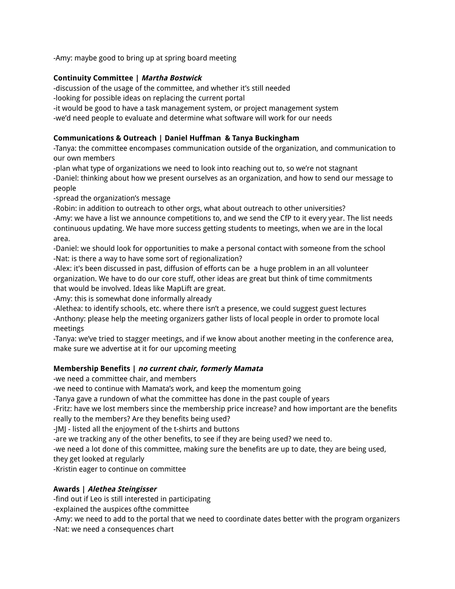-Amy: maybe good to bring up at spring board meeting

#### **Continuity Committee | Martha Bostwick**

-discussion of the usage of the committee, and whether it's still needed

-looking for possible ideas on replacing the current portal

-it would be good to have a task management system, or project management system

-we'd need people to evaluate and determine what software will work for our needs

#### **Communications & Outreach | Daniel Huffman & Tanya Buckingham**

-Tanya: the committee encompases communication outside of the organization, and communication to our own members

-plan what type of organizations we need to look into reaching out to, so we're not stagnant -Daniel: thinking about how we present ourselves as an organization, and how to send our message to people

-spread the organization's message

-Robin: in addition to outreach to other orgs, what about outreach to other universities? -Amy: we have a list we announce competitions to, and we send the CfP to it every year. The list needs continuous updating. We have more success getting students to meetings, when we are in the local area.

-Daniel: we should look for opportunities to make a personal contact with someone from the school -Nat: is there a way to have some sort of regionalization?

-Alex: it's been discussed in past, diffusion of efforts can be a huge problem in an all volunteer organization. We have to do our core stuff, other ideas are great but think of time commitments that would be involved. Ideas like MapLift are great.

-Amy: this is somewhat done informally already

-Alethea: to identify schools, etc. where there isn't a presence, we could suggest guest lectures -Anthony: please help the meeting organizers gather lists of local people in order to promote local meetings

-Tanya: we've tried to stagger meetings, and if we know about another meeting in the conference area, make sure we advertise at it for our upcoming meeting

## **Membership Benefits | no current chair, formerly Mamata**

-we need a committee chair, and members

-we need to continue with Mamata's work, and keep the momentum going

-Tanya gave a rundown of what the committee has done in the past couple of years

-Fritz: have we lost members since the membership price increase? and how important are the benefits really to the members? Are they benefits being used?

-JMJ - listed all the enjoyment of the t-shirts and buttons

-are we tracking any of the other benefits, to see if they are being used? we need to.

-we need a lot done of this committee, making sure the benefits are up to date, they are being used,

they get looked at regularly

-Kristin eager to continue on committee

## **Awards | Alethea Steingisser**

-find out if Leo is still interested in participating

-explained the auspices ofthe committee

-Amy: we need to add to the portal that we need to coordinate dates better with the program organizers

-Nat: we need a consequences chart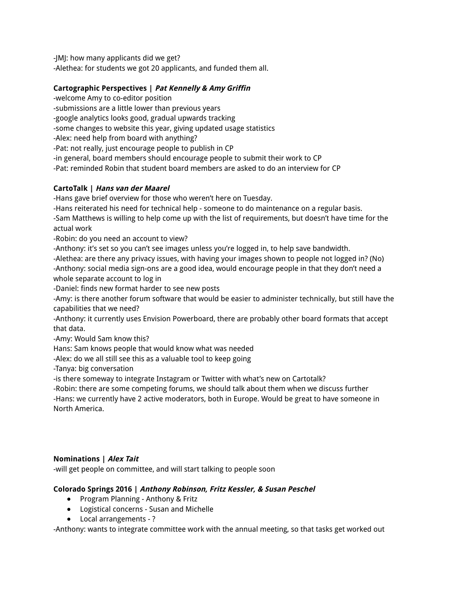-JMJ: how many applicants did we get? -Alethea: for students we got 20 applicants, and funded them all.

# **Cartographic Perspectives | Pat Kennelly & Amy Griffin**

-welcome Amy to co-editor position

-submissions are a little lower than previous years

-google analytics looks good, gradual upwards tracking

-some changes to website this year, giving updated usage statistics

-Alex: need help from board with anything?

-Pat: not really, just encourage people to publish in CP

-in general, board members should encourage people to submit their work to CP

-Pat: reminded Robin that student board members are asked to do an interview for CP

## **CartoTalk | Hans van der Maarel**

-Hans gave brief overview for those who weren't here on Tuesday.

-Hans reiterated his need for technical help - someone to do maintenance on a regular basis.

-Sam Matthews is willing to help come up with the list of requirements, but doesn't have time for the actual work

-Robin: do you need an account to view?

-Anthony: it's set so you can't see images unless you're logged in, to help save bandwidth.

-Alethea: are there any privacy issues, with having your images shown to people not logged in? (No) -Anthony: social media sign-ons are a good idea, would encourage people in that they don't need a whole separate account to log in

-Daniel: finds new format harder to see new posts

-Amy: is there another forum software that would be easier to administer technically, but still have the capabilities that we need?

-Anthony: it currently uses Envision Powerboard, there are probably other board formats that accept that data.

-Amy: Would Sam know this?

Hans: Sam knows people that would know what was needed

-Alex: do we all still see this as a valuable tool to keep going

-Tanya: big conversation

-is there someway to integrate Instagram or Twitter with what's new on Cartotalk?

-Robin: there are some competing forums, we should talk about them when we discuss further -Hans: we currently have 2 active moderators, both in Europe. Would be great to have someone in

North America.

## **Nominations | Alex Tait**

-will get people on committee, and will start talking to people soon

## **Colorado Springs 2016 | Anthony Robinson, Fritz Kessler, & Susan Peschel**

- Program Planning Anthony & Fritz
- Logistical concerns Susan and Michelle
- Local arrangements ?

-Anthony: wants to integrate committee work with the annual meeting, so that tasks get worked out